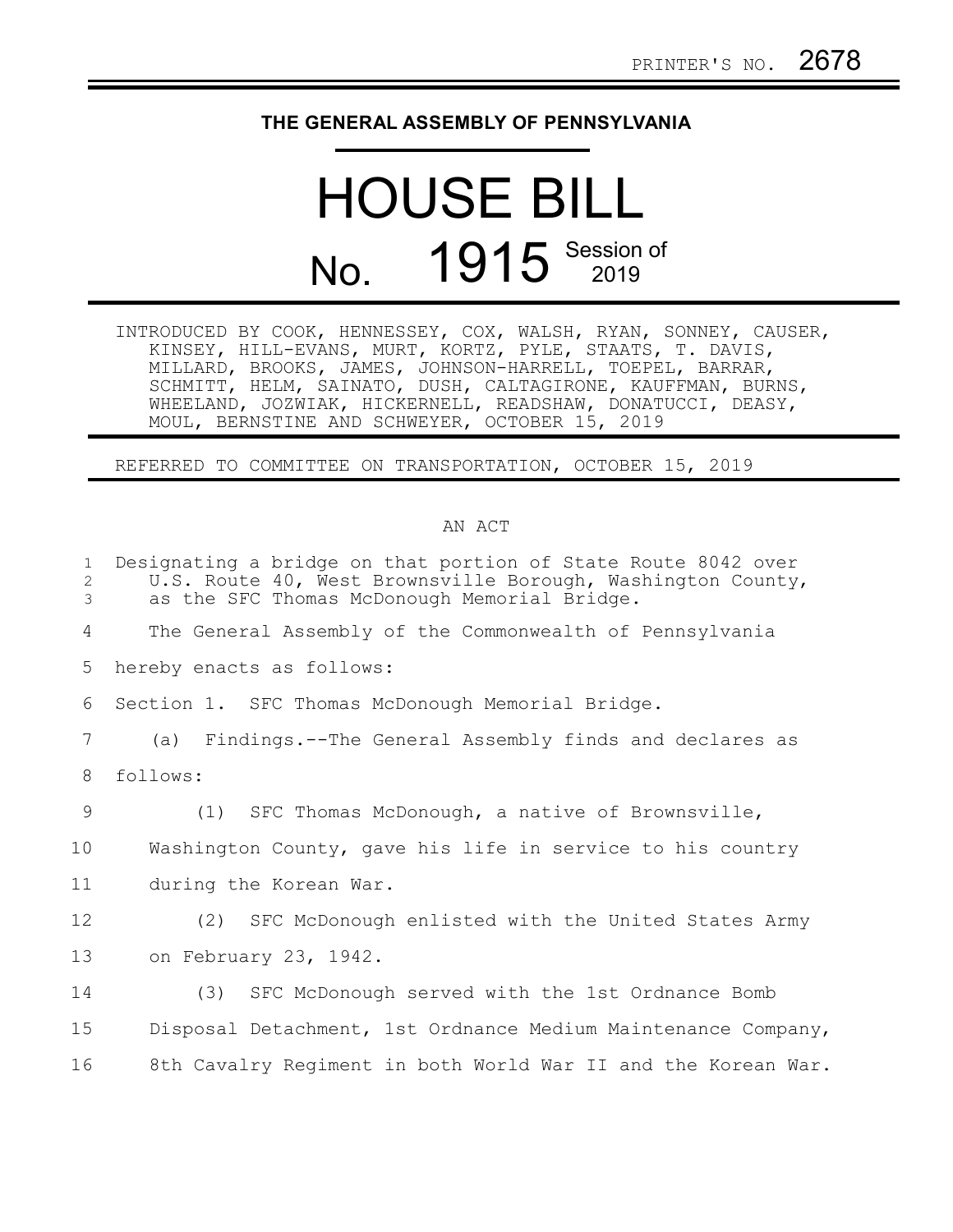## **THE GENERAL ASSEMBLY OF PENNSYLVANIA**

## HOUSE BILL No. 1915 Session of

| INTRODUCED BY COOK, HENNESSEY, COX, WALSH, RYAN, SONNEY, CAUSER, |                                                             |  |  |  |
|------------------------------------------------------------------|-------------------------------------------------------------|--|--|--|
|                                                                  | KINSEY, HILL-EVANS, MURT, KORTZ, PYLE, STAATS, T. DAVIS,    |  |  |  |
|                                                                  | MILLARD, BROOKS, JAMES, JOHNSON-HARRELL, TOEPEL, BARRAR,    |  |  |  |
|                                                                  | SCHMITT, HELM, SAINATO, DUSH, CALTAGIRONE, KAUFFMAN, BURNS, |  |  |  |
|                                                                  | WHEELAND, JOZWIAK, HICKERNELL, READSHAW, DONATUCCI, DEASY,  |  |  |  |
|                                                                  | MOUL, BERNSTINE AND SCHWEYER, OCTOBER 15, 2019              |  |  |  |

REFERRED TO COMMITTEE ON TRANSPORTATION, OCTOBER 15, 2019

## AN ACT

| $\mathbf{1}$<br>$\mathbf{2}$<br>3 | Designating a bridge on that portion of State Route 8042 over<br>U.S. Route 40, West Brownsville Borough, Washington County,<br>as the SFC Thomas McDonough Memorial Bridge. |
|-----------------------------------|------------------------------------------------------------------------------------------------------------------------------------------------------------------------------|
| 4                                 | The General Assembly of the Commonwealth of Pennsylvania                                                                                                                     |
| 5                                 | hereby enacts as follows:                                                                                                                                                    |
| 6                                 | Section 1. SFC Thomas McDonough Memorial Bridge.                                                                                                                             |
| 7                                 | (a) Findings.--The General Assembly finds and declares as                                                                                                                    |
| 8                                 | follows:                                                                                                                                                                     |
| $\overline{9}$                    | (1) SFC Thomas McDonough, a native of Brownsville,                                                                                                                           |
| 10                                | Washington County, gave his life in service to his country                                                                                                                   |
| 11                                | during the Korean War.                                                                                                                                                       |
| 12                                | SFC McDonough enlisted with the United States Army<br>(2)                                                                                                                    |
| 13                                | on February 23, 1942.                                                                                                                                                        |
| 14                                | (3) SFC McDonough served with the 1st Ordnance Bomb                                                                                                                          |
| 15                                | Disposal Detachment, 1st Ordnance Medium Maintenance Company,                                                                                                                |
| 16                                | 8th Cavalry Regiment in both World War II and the Korean War.                                                                                                                |
|                                   |                                                                                                                                                                              |